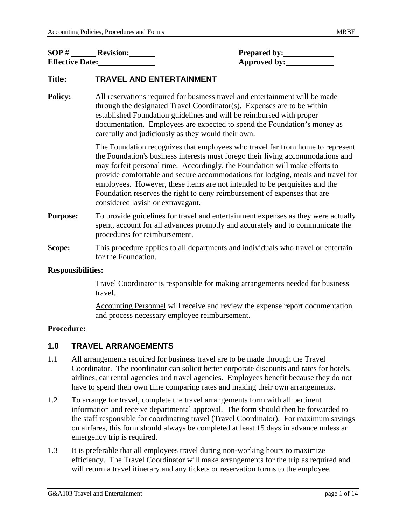| SOP#                   | <b>Revision:</b> | <b>Prepared by:</b> |
|------------------------|------------------|---------------------|
| <b>Effective Date:</b> |                  | Approved by:        |

# **Title: TRAVEL AND ENTERTAINMENT**

**Policy:** All reservations required for business travel and entertainment will be made through the designated Travel Coordinator(s). Expenses are to be within established Foundation guidelines and will be reimbursed with proper documentation. Employees are expected to spend the Foundation's money as carefully and judiciously as they would their own.

> The Foundation recognizes that employees who travel far from home to represent the Foundation's business interests must forego their living accommodations and may forfeit personal time. Accordingly, the Foundation will make efforts to provide comfortable and secure accommodations for lodging, meals and travel for employees. However, these items are not intended to be perquisites and the Foundation reserves the right to deny reimbursement of expenses that are considered lavish or extravagant.

- **Purpose:** To provide guidelines for travel and entertainment expenses as they were actually spent, account for all advances promptly and accurately and to communicate the procedures for reimbursement.
- **Scope:** This procedure applies to all departments and individuals who travel or entertain for the Foundation.

### **Responsibilities:**

 Travel Coordinator is responsible for making arrangements needed for business travel.

 Accounting Personnel will receive and review the expense report documentation and process necessary employee reimbursement.

#### **Procedure:**

## **1.0 TRAVEL ARRANGEMENTS**

- 1.1 All arrangements required for business travel are to be made through the Travel Coordinator. The coordinator can solicit better corporate discounts and rates for hotels, airlines, car rental agencies and travel agencies. Employees benefit because they do not have to spend their own time comparing rates and making their own arrangements.
- 1.2 To arrange for travel, complete the travel arrangements form with all pertinent information and receive departmental approval. The form should then be forwarded to the staff responsible for coordinating travel (Travel Coordinator). For maximum savings on airfares, this form should always be completed at least 15 days in advance unless an emergency trip is required.
- 1.3 It is preferable that all employees travel during non-working hours to maximize efficiency. The Travel Coordinator will make arrangements for the trip as required and will return a travel itinerary and any tickets or reservation forms to the employee.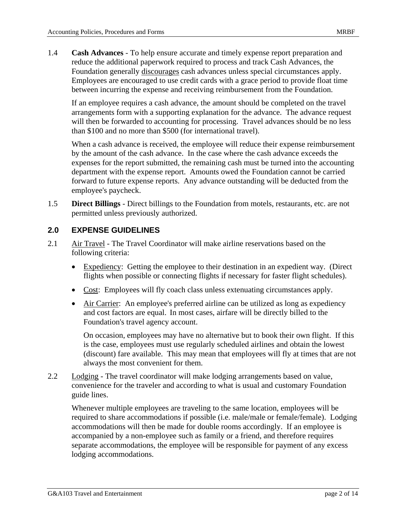1.4 **Cash Advances** - To help ensure accurate and timely expense report preparation and reduce the additional paperwork required to process and track Cash Advances, the Foundation generally discourages cash advances unless special circumstances apply. Employees are encouraged to use credit cards with a grace period to provide float time between incurring the expense and receiving reimbursement from the Foundation.

If an employee requires a cash advance, the amount should be completed on the travel arrangements form with a supporting explanation for the advance. The advance request will then be forwarded to accounting for processing. Travel advances should be no less than \$100 and no more than \$500 (for international travel).

When a cash advance is received, the employee will reduce their expense reimbursement by the amount of the cash advance. In the case where the cash advance exceeds the expenses for the report submitted, the remaining cash must be turned into the accounting department with the expense report. Amounts owed the Foundation cannot be carried forward to future expense reports. Any advance outstanding will be deducted from the employee's paycheck.

1.5 **Direct Billings** - Direct billings to the Foundation from motels, restaurants, etc. are not permitted unless previously authorized.

## **2.0 EXPENSE GUIDELINES**

- 2.1 Air Travel The Travel Coordinator will make airline reservations based on the following criteria:
	- Expediency: Getting the employee to their destination in an expedient way. (Direct flights when possible or connecting flights if necessary for faster flight schedules).
	- Cost: Employees will fly coach class unless extenuating circumstances apply.
	- Air Carrier: An employee's preferred airline can be utilized as long as expediency and cost factors are equal. In most cases, airfare will be directly billed to the Foundation's travel agency account.

 On occasion, employees may have no alternative but to book their own flight. If this is the case, employees must use regularly scheduled airlines and obtain the lowest (discount) fare available. This may mean that employees will fly at times that are not always the most convenient for them.

2.2 Lodging - The travel coordinator will make lodging arrangements based on value, convenience for the traveler and according to what is usual and customary Foundation guide lines.

Whenever multiple employees are traveling to the same location, employees will be required to share accommodations if possible (i.e. male/male or female/female). Lodging accommodations will then be made for double rooms accordingly. If an employee is accompanied by a non-employee such as family or a friend, and therefore requires separate accommodations, the employee will be responsible for payment of any excess lodging accommodations.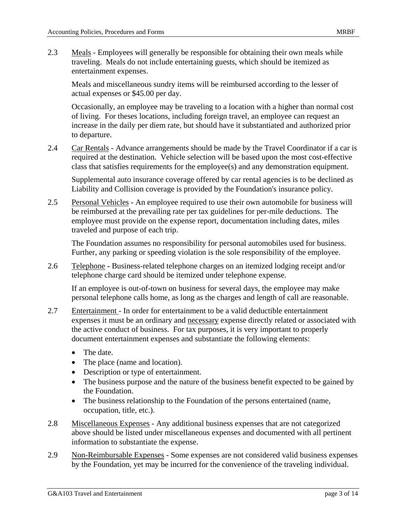2.3 Meals - Employees will generally be responsible for obtaining their own meals while traveling. Meals do not include entertaining guests, which should be itemized as entertainment expenses.

Meals and miscellaneous sundry items will be reimbursed according to the lesser of actual expenses or \$45.00 per day.

Occasionally, an employee may be traveling to a location with a higher than normal cost of living. For theses locations, including foreign travel, an employee can request an increase in the daily per diem rate, but should have it substantiated and authorized prior to departure.

2.4 Car Rentals - Advance arrangements should be made by the Travel Coordinator if a car is required at the destination. Vehicle selection will be based upon the most cost-effective class that satisfies requirements for the employee(s) and any demonstration equipment.

Supplemental auto insurance coverage offered by car rental agencies is to be declined as Liability and Collision coverage is provided by the Foundation's insurance policy.

2.5 Personal Vehicles - An employee required to use their own automobile for business will be reimbursed at the prevailing rate per tax guidelines for per-mile deductions. The employee must provide on the expense report, documentation including dates, miles traveled and purpose of each trip.

The Foundation assumes no responsibility for personal automobiles used for business. Further, any parking or speeding violation is the sole responsibility of the employee.

2.6 Telephone **-** Business-related telephone charges on an itemized lodging receipt and/or telephone charge card should be itemized under telephone expense.

If an employee is out-of-town on business for several days, the employee may make personal telephone calls home, as long as the charges and length of call are reasonable.

- 2.7 Entertainment In order for entertainment to be a valid deductible entertainment expenses it must be an ordinary and necessary expense directly related or associated with the active conduct of business. For tax purposes, it is very important to properly document entertainment expenses and substantiate the following elements:
	- The date.
	- The place (name and location).
	- Description or type of entertainment.
	- The business purpose and the nature of the business benefit expected to be gained by the Foundation.
	- The business relationship to the Foundation of the persons entertained (name, occupation, title, etc.).
- 2.8 Miscellaneous Expenses Any additional business expenses that are not categorized above should be listed under miscellaneous expenses and documented with all pertinent information to substantiate the expense.
- 2.9 Non-Reimbursable Expenses Some expenses are not considered valid business expenses by the Foundation, yet may be incurred for the convenience of the traveling individual.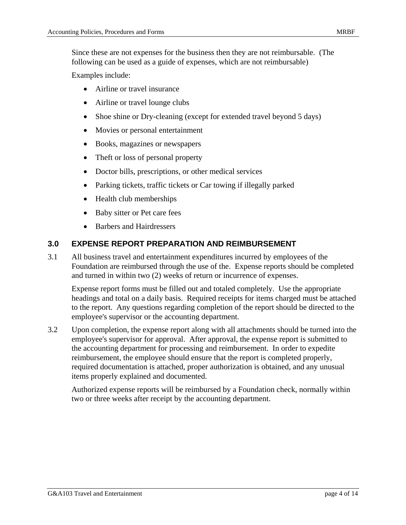Since these are not expenses for the business then they are not reimbursable. (The following can be used as a guide of expenses, which are not reimbursable)

Examples include:

- Airline or travel insurance
- Airline or travel lounge clubs
- Shoe shine or Dry-cleaning (except for extended travel beyond 5 days)
- Movies or personal entertainment
- Books, magazines or newspapers
- Theft or loss of personal property
- Doctor bills, prescriptions, or other medical services
- Parking tickets, traffic tickets or Car towing if illegally parked
- Health club memberships
- Baby sitter or Pet care fees
- Barbers and Hairdressers

# **3.0 EXPENSE REPORT PREPARATION AND REIMBURSEMENT**

3.1 All business travel and entertainment expenditures incurred by employees of the Foundation are reimbursed through the use of the. Expense reports should be completed and turned in within two (2) weeks of return or incurrence of expenses.

Expense report forms must be filled out and totaled completely. Use the appropriate headings and total on a daily basis. Required receipts for items charged must be attached to the report. Any questions regarding completion of the report should be directed to the employee's supervisor or the accounting department.

3.2 Upon completion, the expense report along with all attachments should be turned into the employee's supervisor for approval. After approval, the expense report is submitted to the accounting department for processing and reimbursement. In order to expedite reimbursement, the employee should ensure that the report is completed properly, required documentation is attached, proper authorization is obtained, and any unusual items properly explained and documented.

Authorized expense reports will be reimbursed by a Foundation check, normally within two or three weeks after receipt by the accounting department.